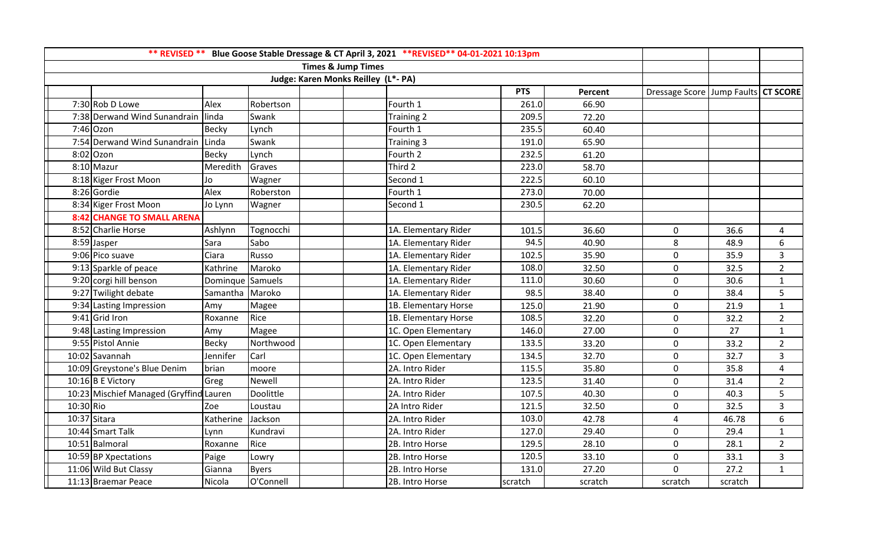| ** REVISED ** Blue Goose Stable Dressage & CT April 3, 2021 ** REVISED** 04-01-2021 10:13pm |                                         |                  |              |  |                      |            |         |                                         |         |                |
|---------------------------------------------------------------------------------------------|-----------------------------------------|------------------|--------------|--|----------------------|------------|---------|-----------------------------------------|---------|----------------|
| <b>Times &amp; Jump Times</b>                                                               |                                         |                  |              |  |                      |            |         |                                         |         |                |
| Judge: Karen Monks Reilley (L*- PA)                                                         |                                         |                  |              |  |                      |            |         |                                         |         |                |
|                                                                                             |                                         |                  |              |  |                      | <b>PTS</b> | Percent | Dressage Score   Jump Faults   CT SCORE |         |                |
|                                                                                             | 7:30 Rob D Lowe                         | Alex             | Robertson    |  | Fourth 1             | 261.0      | 66.90   |                                         |         |                |
|                                                                                             | 7:38 Derwand Wind Sunandrain            | linda            | Swank        |  | Training 2           | 209.5      | 72.20   |                                         |         |                |
|                                                                                             | $7:46$ Ozon                             | <b>Becky</b>     | Lynch        |  | Fourth 1             | 235.5      | 60.40   |                                         |         |                |
|                                                                                             | 7:54 Derwand Wind Sunandrain            | Linda            | Swank        |  | Training 3           | 191.0      | 65.90   |                                         |         |                |
|                                                                                             | $8:02$ Ozon                             | Becky            | Lynch        |  | Fourth 2             | 232.5      | 61.20   |                                         |         |                |
|                                                                                             | 8:10 Mazur                              | Meredith         | Graves       |  | Third 2              | 223.0      | 58.70   |                                         |         |                |
|                                                                                             | 8:18 Kiger Frost Moon                   | Jo               | Wagner       |  | Second 1             | 222.5      | 60.10   |                                         |         |                |
|                                                                                             | 8:26 Gordie                             | Alex             | Roberston    |  | Fourth 1             | 273.0      | 70.00   |                                         |         |                |
|                                                                                             | 8:34 Kiger Frost Moon                   | Jo Lynn          | Wagner       |  | Second 1             | 230.5      | 62.20   |                                         |         |                |
|                                                                                             | <b>8:42 CHANGE TO SMALL ARENA</b>       |                  |              |  |                      |            |         |                                         |         |                |
|                                                                                             | 8:52 Charlie Horse                      | Ashlynn          | Tognocchi    |  | 1A. Elementary Rider | 101.5      | 36.60   | $\mathbf 0$                             | 36.6    | $\overline{4}$ |
|                                                                                             | 8:59 Jasper                             | Sara             | Sabo         |  | 1A. Elementary Rider | 94.5       | 40.90   | $\,8\,$                                 | 48.9    | 6              |
|                                                                                             | 9:06 Pico suave                         | Ciara            | Russo        |  | 1A. Elementary Rider | 102.5      | 35.90   | $\mathsf{O}\xspace$                     | 35.9    | 3              |
|                                                                                             | 9:13 Sparkle of peace                   | Kathrine         | Maroko       |  | 1A. Elementary Rider | 108.0      | 32.50   | $\mathbf 0$                             | 32.5    | $\overline{2}$ |
|                                                                                             | 9:20 corgi hill benson                  | Dominque Samuels |              |  | 1A. Elementary Rider | 111.0      | 30.60   | $\mathbf 0$                             | 30.6    | $\mathbf{1}$   |
|                                                                                             | 9:27 Twilight debate                    | Samantha Maroko  |              |  | 1A. Elementary Rider | 98.5       | 38.40   | $\mathbf 0$                             | 38.4    | 5              |
|                                                                                             | 9:34 Lasting Impression                 | Amy              | Magee        |  | 1B. Elementary Horse | 125.0      | 21.90   | $\mathbf 0$                             | 21.9    | $\mathbf{1}$   |
|                                                                                             | $9:41$ Grid Iron                        | Roxanne          | Rice         |  | 1B. Elementary Horse | 108.5      | 32.20   | $\mathbf 0$                             | 32.2    | $\overline{2}$ |
|                                                                                             | 9:48 Lasting Impression                 | Amy              | Magee        |  | 1C. Open Elementary  | 146.0      | 27.00   | $\mathsf{O}\xspace$                     | 27      | $\mathbf{1}$   |
|                                                                                             | 9:55 Pistol Annie                       | <b>Becky</b>     | Northwood    |  | 1C. Open Elementary  | 133.5      | 33.20   | $\pmb{0}$                               | 33.2    | $\overline{2}$ |
|                                                                                             | 10:02 Savannah                          | Jennifer         | Carl         |  | 1C. Open Elementary  | 134.5      | 32.70   | $\mathsf{O}\xspace$                     | 32.7    | 3              |
|                                                                                             | 10:09 Greystone's Blue Denim            | brian            | moore        |  | 2A. Intro Rider      | 115.5      | 35.80   | $\mathbf 0$                             | 35.8    | $\overline{4}$ |
|                                                                                             | $10:16$ B E Victory                     | Greg             | Newell       |  | 2A. Intro Rider      | 123.5      | 31.40   | $\mathbf 0$                             | 31.4    | $\overline{2}$ |
|                                                                                             | 10:23 Mischief Managed (Gryffind Lauren |                  | Doolittle    |  | 2A. Intro Rider      | 107.5      | 40.30   | $\mathsf{O}\xspace$                     | 40.3    | 5              |
| 10:30 Rio                                                                                   |                                         | Zoe              | Loustau      |  | 2A Intro Rider       | 121.5      | 32.50   | $\mathbf 0$                             | 32.5    | $\overline{3}$ |
|                                                                                             | 10:37 Sitara                            | Katherine        | Jackson      |  | 2A. Intro Rider      | 103.0      | 42.78   | $\pmb{4}$                               | 46.78   | 6              |
|                                                                                             | 10:44 Smart Talk                        | Lynn             | Kundravi     |  | 2A. Intro Rider      | 127.0      | 29.40   | $\mathbf 0$                             | 29.4    | 1              |
|                                                                                             | 10:51 Balmoral                          | Roxanne          | Rice         |  | 2B. Intro Horse      | 129.5      | 28.10   | $\mathbf 0$                             | 28.1    | $\overline{2}$ |
|                                                                                             | 10:59 BP Xpectations                    | Paige            | Lowry        |  | 2B. Intro Horse      | 120.5      | 33.10   | $\mathbf 0$                             | 33.1    | 3              |
|                                                                                             | 11:06 Wild But Classy                   | Gianna           | <b>Byers</b> |  | 2B. Intro Horse      | 131.0      | 27.20   | $\mathbf 0$                             | 27.2    | $\mathbf{1}$   |
|                                                                                             | 11:13 Braemar Peace                     | Nicola           | O'Connell    |  | 2B. Intro Horse      | scratch    | scratch | scratch                                 | scratch |                |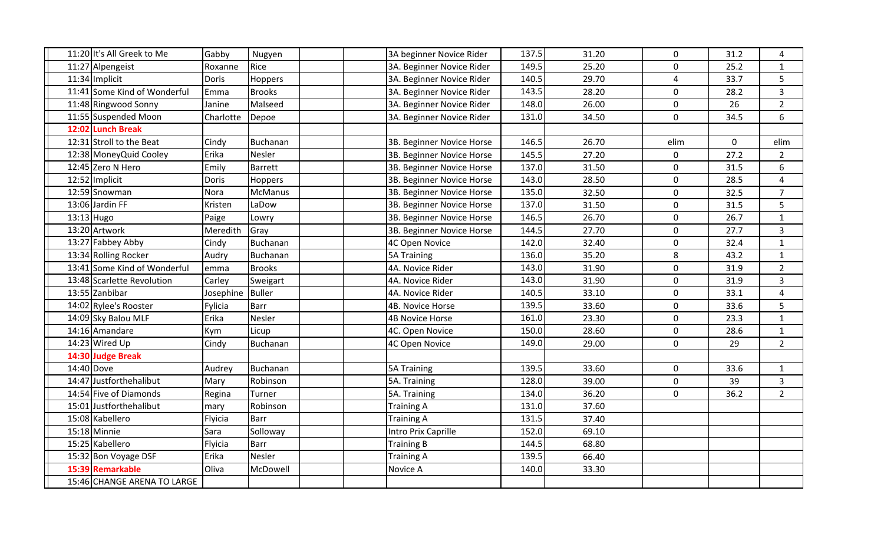| 11:20 It's All Greek to Me   | Gabby     | Nugyen        | 3A beginner Novice Rider  | 137.5 | 31.20 | $\mathbf 0$             | 31.2 | 4              |
|------------------------------|-----------|---------------|---------------------------|-------|-------|-------------------------|------|----------------|
| 11:27 Alpengeist             | Roxanne   | Rice          | 3A. Beginner Novice Rider | 149.5 | 25.20 | $\mathsf{O}\xspace$     | 25.2 | $\mathbf{1}$   |
| 11:34 Implicit               | Doris     | Hoppers       | 3A. Beginner Novice Rider | 140.5 | 29.70 | 4                       | 33.7 | 5              |
| 11:41 Some Kind of Wonderful | Emma      | <b>Brooks</b> | 3A. Beginner Novice Rider | 143.5 | 28.20 | 0                       | 28.2 | $\overline{3}$ |
| 11:48 Ringwood Sonny         | Janine    | Malseed       | 3A. Beginner Novice Rider | 148.0 | 26.00 | $\mathbf 0$             | 26   | $\overline{2}$ |
| 11:55 Suspended Moon         | Charlotte | Depoe         | 3A. Beginner Novice Rider | 131.0 | 34.50 | $\mathsf{O}\xspace$     | 34.5 | 6              |
| 12:02 Lunch Break            |           |               |                           |       |       |                         |      |                |
| 12:31 Stroll to the Beat     | Cindy     | Buchanan      | 3B. Beginner Novice Horse | 146.5 | 26.70 | elim                    | 0    | elim           |
| 12:38 Money Quid Cooley      | Erika     | Nesler        | 3B. Beginner Novice Horse | 145.5 | 27.20 | $\mathbf 0$             | 27.2 | $\overline{2}$ |
| 12:45 Zero N Hero            | Emily     | Barrett       | 3B. Beginner Novice Horse | 137.0 | 31.50 | $\mathbf 0$             | 31.5 | 6              |
| 12:52 Implicit               | Doris     | Hoppers       | 3B. Beginner Novice Horse | 143.0 | 28.50 | 0                       | 28.5 | $\overline{4}$ |
| 12:59 Snowman                | Nora      | McManus       | 3B. Beginner Novice Horse | 135.0 | 32.50 | $\pmb{0}$               | 32.5 | $\overline{7}$ |
| 13:06 Jardin FF              | Kristen   | LaDow         | 3B. Beginner Novice Horse | 137.0 | 31.50 | $\mathsf{O}\xspace$     | 31.5 | 5              |
| $13:13$ Hugo                 | Paige     | Lowry         | 3B. Beginner Novice Horse | 146.5 | 26.70 | $\mathsf{O}\xspace$     | 26.7 | $\mathbf{1}$   |
| 13:20 Artwork                | Meredith  | Gray          | 3B. Beginner Novice Horse | 144.5 | 27.70 | $\pmb{0}$               | 27.7 | $\overline{3}$ |
| 13:27 Fabbey Abby            | Cindy     | Buchanan      | 4C Open Novice            | 142.0 | 32.40 | $\mathsf{O}\xspace$     | 32.4 | $\mathbf{1}$   |
| 13:34 Rolling Rocker         | Audry     | Buchanan      | <b>5A Training</b>        | 136.0 | 35.20 | 8                       | 43.2 | $\mathbf{1}$   |
| 13:41 Some Kind of Wonderful | emma      | <b>Brooks</b> | 4A. Novice Rider          | 143.0 | 31.90 | $\mathbf 0$             | 31.9 | $\overline{2}$ |
| 13:48 Scarlette Revolution   | Carley    | Sweigart      | 4A. Novice Rider          | 143.0 | 31.90 | $\mathbf 0$             | 31.9 | $\overline{3}$ |
| 13:55 Zanbibar               | Josephine | <b>Buller</b> | 4A. Novice Rider          | 140.5 | 33.10 | $\mathbf 0$             | 33.1 | 4              |
| 14:02 Rylee's Rooster        | Fylicia   | Barr          | 4B. Novice Horse          | 139.5 | 33.60 | $\mathsf{O}\xspace$     | 33.6 | 5              |
| 14:09 Sky Balou MLF          | Erika     | Nesler        | <b>4B Novice Horse</b>    | 161.0 | 23.30 | $\mathbf 0$             | 23.3 | $\mathbf{1}$   |
| 14:16 Amandare               | Kym       | Licup         | 4C. Open Novice           | 150.0 | 28.60 | $\mathsf{O}\xspace$     | 28.6 | $\mathbf{1}$   |
| 14:23 Wired Up               | Cindy     | Buchanan      | 4C Open Novice            | 149.0 | 29.00 | $\mathsf{O}\xspace$     | 29   | $\overline{2}$ |
| 14:30 Judge Break            |           |               |                           |       |       |                         |      |                |
| 14:40 Dove                   | Audrey    | Buchanan      | 5A Training               | 139.5 | 33.60 | $\mathsf{O}$            | 33.6 | $\mathbf{1}$   |
| 14:47 Justforthehalibut      | Mary      | Robinson      | 5A. Training              | 128.0 | 39.00 | $\mathsf{O}\phantom{0}$ | 39   | $\mathsf{3}$   |
| 14:54 Five of Diamonds       | Regina    | Turner        | 5A. Training              | 134.0 | 36.20 | 0                       | 36.2 | $\overline{2}$ |
| 15:01 Justforthehalibut      | mary      | Robinson      | <b>Training A</b>         | 131.0 | 37.60 |                         |      |                |
| 15:08 Kabellero              | Flyicia   | <b>Barr</b>   | <b>Training A</b>         | 131.5 | 37.40 |                         |      |                |
| $15:18$ Minnie               | Sara      | Solloway      | Intro Prix Caprille       | 152.0 | 69.10 |                         |      |                |
| 15:25 Kabellero              | Flyicia   | Barr          | <b>Training B</b>         | 144.5 | 68.80 |                         |      |                |
| 15:32 Bon Voyage DSF         | Erika     | Nesler        | <b>Training A</b>         | 139.5 | 66.40 |                         |      |                |
| 15:39 Remarkable             | Oliva     | McDowell      | Novice A                  | 140.0 | 33.30 |                         |      |                |
| 15:46 CHANGE ARENA TO LARGE  |           |               |                           |       |       |                         |      |                |